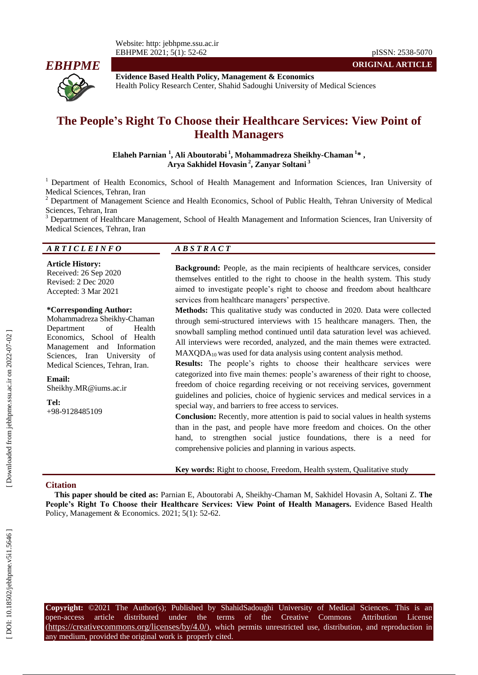

**Evidence Based Health Policy, Management & Economics** Health Policy Research Center, Shahid Sadoughi University of Medical Sciences

# **The People 's Right To Choose their Healthcare Services: View Point of Health Managers**

**Elaheh Parnian 1 , Ali Aboutorab i 1 , Mohammadreza Sheikhy -Chaman 1 \* , Arya Sakhidel Hovasin 2 , Zanyar Soltani 3**

<sup>1</sup> Department of Health Economics, School of Health Management and Information Sciences, Iran University of Medical Sciences, Tehran, Iran<br><sup>2</sup> Department of Management Science and Health Economics, School of Public Health, Tehran University of Medical

Sciences, Tehran, Iran<br><sup>3</sup> Department of Healthcare Management, School of Health Management and Information Sciences, Iran University of

Medical Sciences, Tehran, Iran

#### *A R T I C L E I N F O A B S T R A C T*

**Article History:** Received: 26 Sep 2020 Revised: 2 Dec 2020 Accepted: 3 Mar 202 1

#### **\*Corresponding Author:**

Mohammadreza Sheikhy -Chaman Department of Health Economics, School of Health Management and Information Sciences, Iran University of Medical Sciences, Tehran, Iran .

**Email:** Sheikhy.MR@iums.ac.ir

**Tel:** +98 - 9128485109

**Background:** People, as the main recipients of healthcare services, consider themselves entitled to the right to choose in the health system. This study aimed to investigate people's right to choose and freedom about healthcare services from healthcare managers' perspective.

**ORIGINAL ARTICLE**

**Methods:** This qualitative study was conducted in 2020. Data were collected through semi -structured interviews with 15 healthcare managers. Then, the snowball sampling method continued until data saturation level was achieved. All interviews were recorded, analyzed, and the main themes were extracted.  $MAXQDA<sub>10</sub>$  was used for data analysis using content analysis method.

Results: The people's rights to choose their healthcare services were categorized into five main themes: people's awareness of their right to choose, freedom of choice regarding receiving or not receiving services, government guidelines and policies, choice of hygienic services and medical services in a special way, and barriers to free access to services.

**Conclusion:** Recently, more attention is paid to social values in health systems than in the past, and people have more freedom and choices. On the other hand, to strengthen social justice foundations, there is a need for comprehensive policies and planning in various aspects.

**Key words:** Right to choose, Freedom, Health system, Qualitative study

#### **Citation**

**This paper should be cited as:** Parnian E, Aboutorab i A, Sheikhy -Chaman M, Sakhidel Hovasin A, Soltani Z. **The People's Right To Choose their Healthcare Services: View Point of Health Managers .** Evidence Based Health Policy, Management & Economics. 2021; 5(1): 52-62.

**Copyright:** ©2021 The Author(s); Published by ShahidSadoughi University of Medical Sciences. This is an open-access -access article distributed under the terms of the Creative Commons Attribution License (https://creativecommons.org/licenses/by/4.0/), which permits unrestricted use, distribution, and reproduction in any medium, provided the original work is properly cited.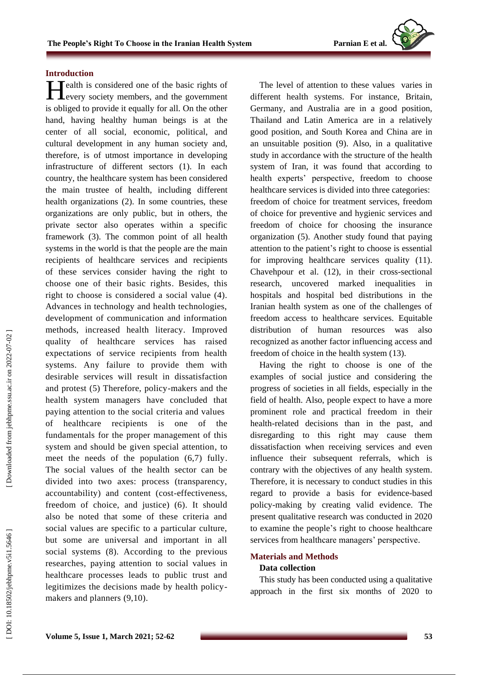#### **The People's Right To Choose in the Iranian Health System**

#### **Introduction**

ealth is considered one of the basic rights of **H**ealth is considered one of the basic rights of every society members, and the government is obliged to provide it equally for all. On the other hand, having healthy human beings is at the center of all social, economic, political, and cultural development in any human society and, therefore, is of utmost importance in developing infrastructure of different sectors (1). In each country, the healthcare system has been considered the main trustee of health, including different health organizations (2). In some countries, these organizations are only public, but in others, the private sector also operates within a specific framework (3). The common point of all health systems in the world is that the people are the main recipients of healthcare services and recipients of these services consider having the right to choose one of their basic rights. Besides, this right to choose is considered a social value (4). Advances in technology and health technologies, development of communication and information methods, increased health literacy. Improved quality of healthcare services has raised expectations of service recipients from health systems. Any failure to provide them with desirable services will result in dissatisfaction and protest (5) Therefore, policy -makers and the health system managers have concluded that paying attention to the social criteria and values of healthcare recipients is one of the fundamentals for the proper management of this system and should be given special attention , to meet the needs of the population (6,7) fully. The social values of the health sector can be divided into two axes: process (transparency, accountability) and content (cost -effectiveness, freedom of choice, and justice) (6). It should also be noted that some of these criteria and social values are specific to a particular culture, but some are universal and important in all social systems (8). According to the previous researches, paying attention to social values in healthcare processes leads to public trust and legitimizes the decisions made by health policy makers and planners (9,10).

The level of attention to these values varies in different health systems . For instance, Britain, Germany, and Australia are in a good position, Thailand and Latin America are in a relatively good position, and South Korea and China are in an unsuitable position (9). Also, in a qualitative study in accordance with the structure of the health system of Iran, it was found that according to health experts' perspective, freedom to choose healthcare services is divided into three categories: freedom of choice for treatment services, freedom of choice for preventive and hygienic services and freedom of choice for choosing the insurance organization (5). Another study found that paying attention to the patient 's right to choose is essential for improving healthcare services quality (11). Chavehpour et al. (12), in their cross -sectional research , uncovered marked inequalities in hospitals and hospital bed distributions in the Iranian health system as one of the challenges of freedom access to healthcare services. Equitable distribution of human resources was also recognized as another factor influencing access and freedom of choice in the health system (13).

Having the right to choose is one of the examples of social justice and considering the progress of societies in all fields, especially in the field of health. Also, people expect to have a more prominent role and practical freedom in their health -related decisions than in the past , and disregarding to this right may cause them dissatisfaction when receiving services and even influence their subsequent referrals, which is contrary with the objectives of any health system . Therefore, it is necessary to conduct studies in this regard t o provide a basis for evidence -based policy -making by creating valid evidence. The present qualitative research was conducted in 2020 to examine the people 's right to choose healthcare services from healthcare managers' perspective .

# **Materials and Methods**

## **Data collection**

This study has been conducted using a qualitative approach in the first six months of 2020 to

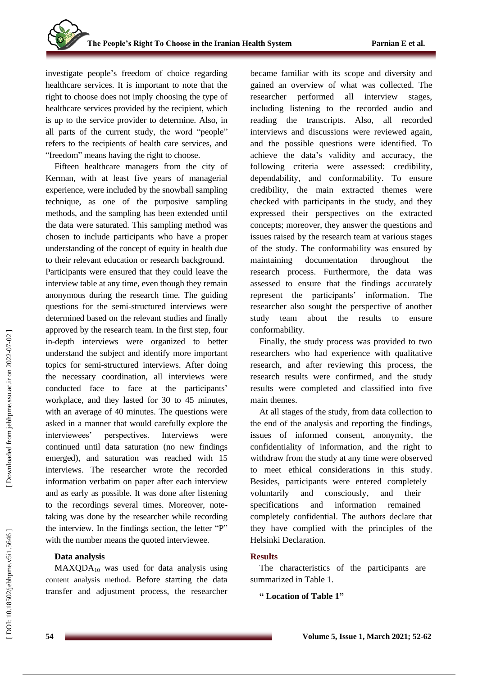investigate people 's freedom of choice regarding healthcare services. It is important to note that the right to choose does not imply choosing the type of healthcare service s provided by the recipient, which is up to the service provider to determine. Also, in all parts of the current study, the word "people " refers to the recipients of health care services, and "freedom" means having the right to choose.

Fifteen healthcare managers from the city of Kerman, with at least five years of managerial experience , were included by the snowball sampling technique, as one of the purposive sampling methods , and the sampling has been extended until the data were saturated . This sampling method was chosen to include participants who have a proper understanding of the concept of equity in health due to their relevant education or research background.

Participants were ensured that they could leave the interview table at any time, even though they remain anonymous during the research time. The guiding questions for the semi -structured interviews were determined based on the relevant studies and finally approved by the research team. In the first step, four in -depth interviews were organized to better understand the subject and identify more important topics for semi -structured interviews. After doing the necessary coordination, all interviews were conducted face to face at the participants ' workplace, and they lasted for 30 to 45 minutes, with an average of 40 minutes. The questions were asked in a manner that would carefully explore the interviewees' perspectives. Interviews were continued until data saturation ( no new findings emerged) , and saturation was reached with 15 interviews. The researcher wrote the recorded information verbatim on paper after each interview and as early as possible. It was done after listening to the recordings several times. Moreover, note taking was done by the researcher while recording the interview. In the findings section, the letter "P" with the number means the quoted interviewee .

### **Data analysis**

 $MAXQDA<sub>10</sub>$  was used for data analysis using content analysis method. Before starting the data transfer and adjustment process, the researcher became familiar with its scope and diversity and gained an overview of what was collected. The researcher performed all interview stages, including listening to the recorded audio and reading the transcripts. Also, all recorded interviews and discussions were reviewed again , and the possible questions were identified. To achieve the data's validity and accuracy, the following criteria were assessed: credibility, dependability, and c onformability. To ensure credibility, th e main extracted themes were checked with participants in the study , and they expressed their perspective s on the extracted concepts; moreover, they answer the questions and issues raised by the research team at various stages of the study. The conformability was ensured by maintaining documentation throughout the research process. Furthermore, the data was assessed to ensure that the findings accurately represent the participants' information. The researcher also sought the perspective of another study team about the results to ensure conformability.

Finally, the study process was provided to two researchers who had experience with qualitative research , and after reviewing this process, the research results were confirmed , and the study results were completed and classified into five main themes.

At all stages of the study , from data collection to the end of the analysis and reporting the findings, issues of informed consent, anonymity, the confidentiality of information, and the right to withdraw from the study at any time were observed to meet ethical considerations in this study. Besides, participants were entered completely voluntarily and consciously , and their specifications and information remained completely confidential. The authors declare that they have complied with the principles of the Helsinki Declaration.

#### **Results**

The characteristics of the participants are summarized in Table 1.

**" Location of Table 1 "**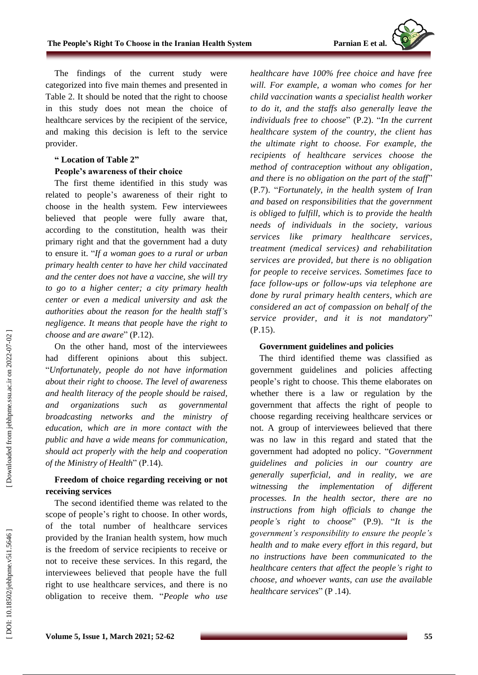

The findings of the current study were categorized into five main themes and presented in Table 2. It should be noted that the right to choose in this study does not mean the choice of healthcare services by the recipient of the service, and making this decision is left to the service provider .

#### **" Location of Table 2 "**

#### **People's awareness of their choice**

The first theme identified in this study was related to people 's awareness of their right to choose in the health system. Few interviewees believed that people were fully aware that, according to the constitution, health was their primary right and that the government had a duty to ensure it. "*If a woman goes to a rural or urban primary health center to have her child vaccinated and the center does not have a vaccine, she will try to go to a higher center ; a city primary health center or even a medical university and ask the authorities about the reason for the health staff 's negligence. It means that people have the right to choose and are aware* " (P.12).

On the other hand, most of the interviewees had different opinions about this subject. "*Unfortunately, people do not have information about their right to choose. The level of awareness and health literacy of the people should be raised, and organizations such as governmental broadcasting networks and the ministry of education, which are in more contact with the public and have a wide means for communication, should act properly with the help and cooperation of the Ministry of Health*" (P.14).

#### **Freedom of choice regarding receiving or not receiving services**

The second identified theme was related to the scope of people 's right to choose . In other words, of the total number of healthcare services provided by the Iranian health system, how much is the freedom of service recipients to receive or not to receive these services. In this regard, the interviewees believed that people have the full right to use healthcare services , and there is no obligation to receive them. "*People who use*

*healthcare have 100% free choice and have free will. For example, a woman who comes for her child vaccination wants a specialist health worker to do it, and the staffs also generally leave the individual s free to choose* " (P.2). "*In the current healthcare system of the country, the client has the ultimate right to choose. For example, the recipients of healthcare services choose the method of contraception without any obligation , and there is no obligation on the part of the staff*" (P.7). "*Fortunately, in the health system of Iran and based on responsibilities that the government is obliged to fulfill, which is to provide the health needs of individuals in the society, various services like primary healthcare services , treatment (medical services ) and rehabilitation services are provided, but there is no obligation for people to receive services. Sometimes face to face follow -up s or follow -ups via telephone are done by rural primary health centers, which are considered an act of compassion on behalf of the*  service provider, and it is not mandatory" (P.15).

#### **Government guidelines and policies**

The third identified theme was classified as government guidelines and policies affecting people 's right to choose. This theme elaborates on whether there is a law or regulation by the government that affects the right of people to choose regarding receiving healthcare services or not. A group of interviewees believed that there was no law in this regard and stated that the government had adopted no policy. "*Government guidelines and policies in our country are generally superficial , and in reality, we are witnessing the implementation of different processes. In the health sector, there are no instructions from high officials to change the people 's right to choose* " (P.9). "*It is the government's responsibility to ensure the people's health and to make every effort in this regard, but no instructions have been communicated to the healthcare centers that affect the people 's right to choose , and whoever wants, can use the available healthcare services* " (P .14).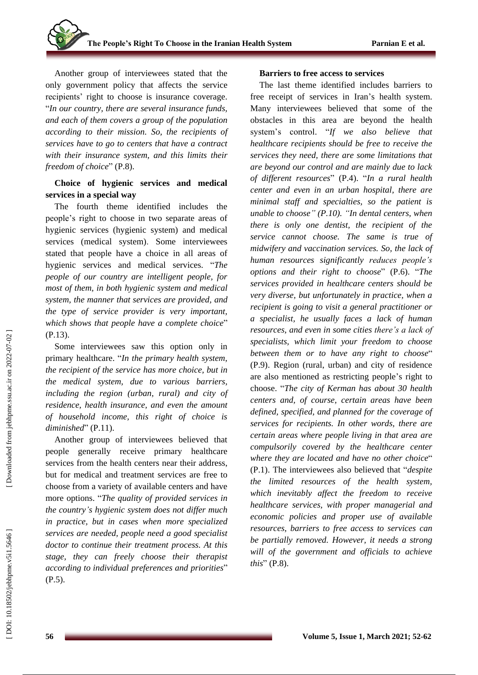Another group of interviewees stated that the only government policy that affects the service recipients' right to choose is insurance coverage. "*In our country, there are several insurance funds, and each of them covers a group of the population according to their mission . S o , the recipients of services have to go to centers that have a contract with their insurance system, and this limits their freedom of choice* " (P.8).

### **Choice of hygienic services and medical services in a special way**

The fourth theme identified includes the people's right to choose in two separate areas of hygienic services (hygienic system) and medical services (medical system) . Some interviewees stated that people have a choice in all areas of hygienic services and medical services. "*The people of our country are intelligent people, for most of them, in both hygienic system and medical system, the manner that services are provided, and the type of service provider is very important,*  which shows that people have a complete choice" (P.13).

Some interviewees saw this option only in primary healthcare. "*In the primary health system, the recipient of the service has more choice, but in the medical system, due to various barriers, including the region (urban, rural) and city of residence, health insurance, and even the amount of household income, this right of choice is*  diminished" (P.11).

Another group of interviewees believed that people generally receive primary healthcare services from the health center s near their address, but for medical and treatment services are free to choose from a variety of available centers and have more options. "*The quality of provided services in the country 's hygienic system does not differ much in practice, but in cases whe n more specialized services are needed, people need a good specialist doctor to continue their treatment process. At this stage, they can freely choose their therapist according to individual preferences and priorities* " (P.5).

#### **Barriers to free access to services**

The last theme identified includes barriers to free receipt of services in Iran 's health system. Many interviewees believed that some of the obstacle s in this area are beyond the health system's control. "*If we also believe that healthcare recipients should be free to receive the services they need, there are some limitations that are beyond our control and are mainly due to lack of different resources* " (P.4). "*In a rural health center and even in an urban hospital , there are minimal staff and specialties, so the patient is unable to choose " (P.10). "In dental centers, when there is only one dentist, the recipient of the service cannot choose. The same is true of midwifery and vaccination services. So, the lack of human resources significantly reduces people's options and their right to choose* " (P.6). "*The services provided in healthcare centers should be very diverse, but unfortunately in practice, when a recipient is going to visit a general practitioner or a specialist, he usually faces a lack of human resources, and even in some cities there's a lack of specialists, which limit your freedom to choose between them or to have any right to choose* " (P.9). Region (rural, urban) and city of residence are also mentioned as restricting people 's right to choose. "*The city of Kerman has about 30 health centers and, of course, certain areas have been defined, specified, and planne d for the coverage of services for recipients. In other words, there are certain areas where people living in that area are compulsorily covered by the healthcare center where they are located and have no other choice*" (P.1). The interviewee s also believed that "*despite the limited resources of the health system, which inevitably affect the freedom to receive healthcare services, with proper managerial and economic policies and proper use of available resources, barriers to free access to services can be partially removed. However, it needs a strong will of the government and officials to achieve this* " (P.8).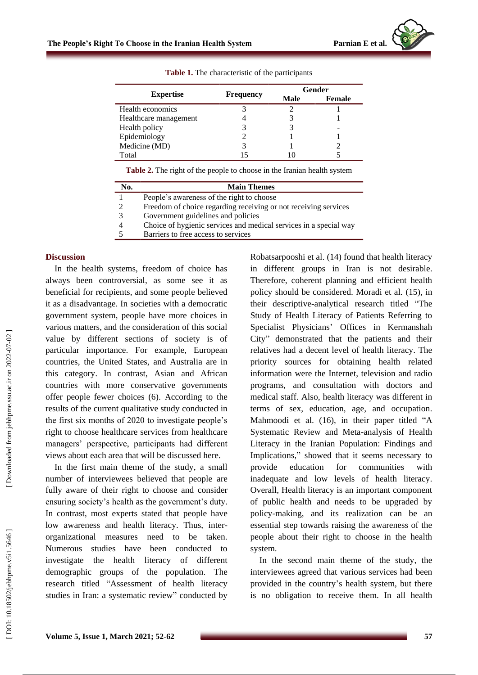| <b>Expertise</b>      |                  | Gender |               |
|-----------------------|------------------|--------|---------------|
|                       | <b>Frequency</b> | Male   | <b>Female</b> |
| Health economics      |                  |        |               |
| Healthcare management |                  |        |               |
| Health policy         |                  |        |               |
| Epidemiology          |                  |        |               |
| Medicine (MD)         |                  |        |               |
| Total                 |                  |        |               |

**Table 1.** The characteristic of the participants

**Table 2.** The right of the people to choose in the Iranian health system

| No. | <b>Main Themes</b>                                                |
|-----|-------------------------------------------------------------------|
|     | People's awareness of the right to choose                         |
|     | Freedom of choice regarding receiving or not receiving services   |
|     | Government guidelines and policies                                |
|     | Choice of hygienic services and medical services in a special way |
|     | Barriers to free access to services                               |

#### **Discussion**

In the health systems, freedom of choice has always been controversial , as some see it as beneficial for recipients , and some people believed it as a disadvantage. In societies with a democratic government system, people have more choices in various matters, and the consideration of this social value by different sections of society is of particular importance. For example, European countries, the United States, and Australia are in this category. In contrast, Asian and African countries with more conservative governments offer people fewer choices (6). According to the results of the current qualitative study conducted in the first six months of 2020 to investigate people's right to choose healthcare services from healthcare managers' perspective, participants had different views about each area that will be discussed here.

In the first main theme of the study, a small number of interviewees believed that people are fully aware of their right to choose and consider ensuring society's health as the government's duty . In contrast, most experts stated that people have low awareness and health literacy. Thus, interorganizational measures need to be taken. Numerous studies have been conducted to investigate the health literacy of different demographic groups of the population. The research titled "Assessment of health literacy studies in Iran: a systematic review " conducted by Robatsarpooshi et al. (14) found that health literacy in different groups in Iran is not desirable. Therefore, coherent planning and efficient health policy should be considered. Moradi et al. (15), in their descriptive -analytical research titled "The Study of Health Literacy of Patients Referring to Specialist Physicians ' Offices in Kermanshah Cit y " demonstrated that the patients and their relatives had a decent level of health literacy. The priority sources for obtaining health related information were the Internet, television and radio programs, and consultation with doctors and medical staff. Also, health literacy was different in terms of sex, education, age, and occupation. Mahmoodi et al. (16), in their paper titled "A Systematic Review and Meta -analysis of Health Literacy in the Iranian Population: Findings and Implications , " showed that it seems necessary to provide education for communities with inadequate and low levels of health literacy. Overall, Health literacy is an important component of public health and needs to be upgraded by policy -making, and its realization can be an essential step towards raising the awareness of the people about their right to choose in the health system.

In the second main theme of the study, the interviewees agreed that various services ha d been provided in the country 's health system, but there is no obligation to receive the m. In all health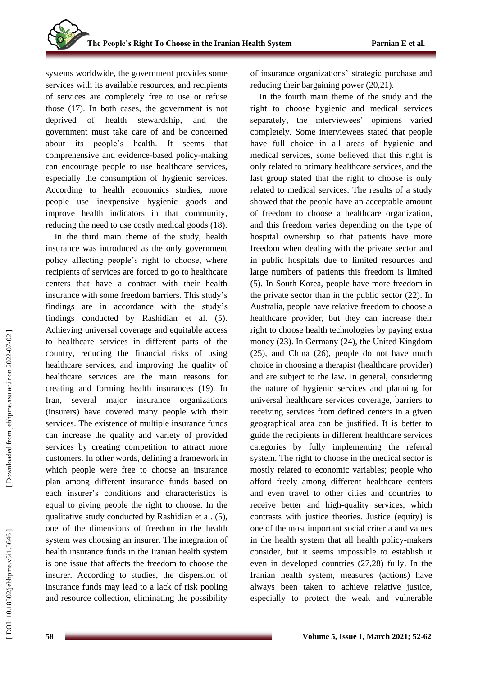systems worldwide, the government provides some services with its available resources, and recipients of services are completely free to use or refuse those (1 7 ). In both cases, the government is not deprived of health stewardship, and the government must take care of and be concerned about its people's health. It seems that comprehensive and evidence-based policy-making can encourage people to use healthcare services , especially the consumption of hygienic services. According to health economics studies, more people use inexpensive hygienic goods and improve health indicators in that community, reducing the need to use costly medical goods (1 8).

In the third main theme of the study, health insurance was introduced as the only government policy affecting people's right to choose, where recipients of services are forced to go to healthcare centers that have a contract with their health insurance with some freedom barriers. This study's findings are in accordance with the study's findings conducted by Rashidian et al. (5). Achieving universal coverage and equitable access to healthcare services in different parts of the country, reducing the financial risks of using healthcare services , and improving the quality of healthcare services are the main reason s for creating and forming health insurances (1 9). In Iran, several major insurance organizations (insurers) have covered many people with their services. The existence of multiple insurance funds can increase the quality and variety of provided services by creating competition to attract more customers. In other words, defining a framework in which people were free to choose an insurance plan among different insurance funds based on each insurer's conditions and characteristics is equal to giving people the right to choose. In the qualitative study conducted by Rashidian et al. (5) , one of the dimensions of freedom in the health system was choosing an insurer. The integration of health insurance funds in the Iranian health system is one issue that affects the freedom to choose the insurer. According to studies, the dispersion of insurance funds may lead to a lack of risk pooling and resource collection, eliminat ing the possibility of insurance organizations' strategic purchase and reducing their bargaining power (20,21).

In the fourth main theme of the study and the right to choose hygienic and medical services separately, the interviewees' opinions varied completely. Some interviewees stated that people have full choice in all areas of hygienic and medical services, some believed that this right is only related to primary healthcare services, and the last group stated that the right to choose is only related to medical services. The results of a study showed that the people have an acceptable amount of freedom to choos e a healthcare organization , and this freedom varies depending on the type of hospital ownership so that patients have more freedom when dealing with the private sector and in public hospitals due to limited resources and large numbers of patients this freedom is limited (5). In South Korea, people have more freedom in the private sector than in the public sector (2 2 ) . In Australia, people have relative freedom to choose a healthcare provider , but they can increase their right to choose health technologies by paying extra money (2 3 ) . In Germany (2 4), the United Kingdom (2 5 ) , and China (2 6), people do not have much choice in choosing a therapist (healthcare provider) and are subject to the law. In general, considering the nature of hygienic services and planning for universal healthcare services coverage, barriers to receiving services from defined centers in a given geographical area can be justified. It is better to guide the recipients in different healthcare services categories by fully implementing the referral system. The right to choose in the medical sector is mostly related to economic variables ; people who afford freely among different healthcare centers and even travel to other cities and countries to receive better and high -quality services, which contrasts with justice theories. Justice (equity) is one of the most important social criteria and values in the health system that all health policy -makers consider, but it seems impossible to establish it even in developed countries (27,28) fully. In the Iranian health system, measures (actions) have always been taken to achieve relative justice, especially to protect the weak and vulnerable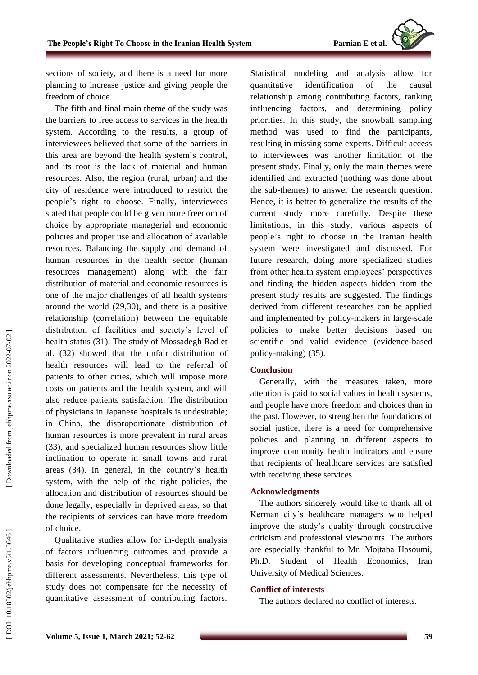Parnian E et al.



sections of society, and there is a need for more planning to increase justice and giving people the freedom of choice .

The fifth and final main theme of the study was the barriers to free access to services in the health system. According to the results, a group of interviewees believed that some of the barriers in this area are beyond the health system's control, and its root is the lack of material and human resources. Also, the region (rural, urban) and the city of residence were introduced to restrict the people 's right to choose. Finally , interviewee s stated that people could be given more freedom of choice by appropriate managerial and economic policies and proper use and allocation of available resources. Balancing the supply and demand of human resources in the health sector (human resources management) along with the fair distribution of material and economic resources is one of the major challenges of all health systems around the world (2 9 ,30 ) , and there is a positive relationship (correlation) between the equitable distribution of facilities and society's level of health status (31). The study of Mossadeg h Rad et al. (32) showed that the unfair distribution of health resources will lead to the referral of patients to other cities, which will impose more costs on patients and the health system, and will also reduce patient s satisfaction . The distribution of physicians in Japanese hospitals is undesirable ; in China , the disproportionate distribution of human resources is more prevalent in rural areas (3 3 ) , and specialized human resources show little inclination to operate in small towns and rural areas (3 4). In general, in the country's health system, with the help of the right policies, the allocation and distribution of resources should be done legally, especially in deprived areas, so that the recipients of services can have more freedom of choice.

Qualitative studies allow for in -depth analysis of factors influencing outcomes and provide a basis for developing conceptual frameworks for different assessments. Nevertheless, this type of study does not compensate for the necessity of quantitative assessment of contributing factors.

Statistical modeling and analysis allow for quantitative identification of the causal relationship among contributing factors, ranking influencing factors, and determining policy priorities. In this study, the snowball sampling method was used to find the participants , resulting in missing some experts. Difficult access to interviewees was another limitation of the present study. Finally, only the main themes were identified and extracted ( nothing was done about the sub -themes) to answer the research question. Hence, it is better to generalize the results of the current study more carefully. Despite these limitations, in this study, various aspects of people 's right to choose in the Iranian health system were investigated and discussed. For future research, doing more specialized studies from other health system employees' perspectives and finding the hidden aspects hidden from the present study results are suggested. The findings derived from different researches can be applied and implemented by policy -makers in large -scale policies to make better decisions based on scientific and valid evidence (evidence -based policy -making) (35) .

#### **Conclusion**

Generally, with the measures taken, more attention is paid to social values in health systems , and people have more freedom and choice s than in the past . However, to strengthen the foundations of social justice, there is a need for comprehensive policies and planning in different aspects to improve community health indicators and ensure that recipients of healthcare services are satisfied with receiving these services.

#### **Acknowledgments**

The authors sincerely would like to thank all of Kerman city's healthcare managers who helped improve the study's qualit y through constructive criticism and professional viewpoints. The authors are especially thankful to Mr. Mojtaba Hasoumi, Ph.D. Student of Health Economics, Iran University of Medical Sciences.

#### **Conflict of interests**

The authors declare d no conflict of interest s .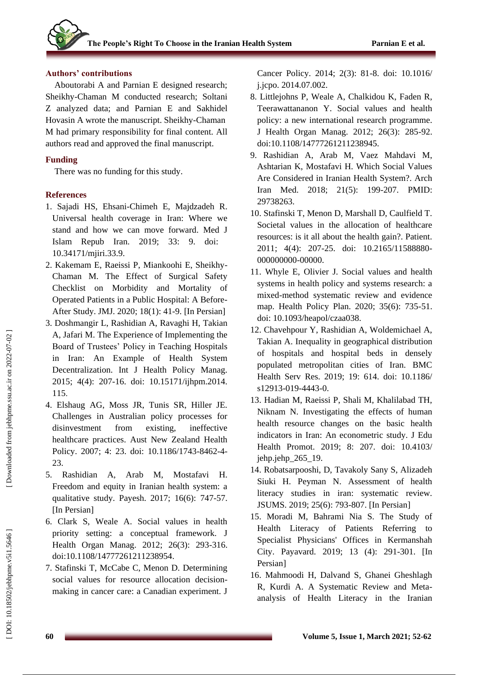# **Authors' contributions**

Aboutorabi A and Parnian E designed research; Sheikhy -Chaman M conducted research; Soltani Z analyzed data; and Parnian E and Sakhidel Hovasin A wrote the manuscript. Sheikhy -Chaman M had primary responsibility for final content. All authors read and approved the final manuscript.

# **Funding**

There was no funding for this study.

# **References**

- 1. Sajadi HS, Ehsani -Chimeh E, Majdzadeh R. Universal health coverage in Iran: Where we stand and how we can move forward. Med J Islam Repub Iran. 2019; 33: 9. doi: 10.34171/mjiri.33.9.
- 2. Kakemam E, Raeissi P, Miankoohi E, Sheikhy Chaman M. The Effect of Surgical Safety Checklist on Morbidity and Mortality of Operated Patients in a Public Hospital: A Before - After Study. JMJ. 2020; 18(1): 41 -9. [In Persian]
- 3. Doshmangir L, Rashidian A, Ravaghi H, Takian A, Jafari M. The Experience of Implementing the Board of Trustees' Policy in Teaching Hospitals in Iran: An Example of Health System Decentralization. Int J Health Policy Manag. 2015; 4(4): 207 -16. doi: 10.15171/ijhpm.2014. 115 .
- 4. Elshaug AG, Moss JR, Tunis SR, Hiller JE. Challenges in Australian policy processes for disinvestment from existing, ineffective healthcare practices. Aust New Zealand Health Policy. 2007; 4: 23. doi: 10.1186/1743-8462-4-23.
- 5. Rashidian A, Arab M, Mostafavi H. Freedom and equity in Iranian health system: a qualitative study. Payesh. 2017; 16(6): 747 -57. [In Persian]
- 6. Clark S, Weale A. Social values in health priority setting: a conceptual framework. J Health Organ Manag. 2012; 26(3): 293 -316. doi:10.1108/14777261211238954.
- 7. Stafinski T, McCabe C, Menon D. Determining social values for resource allocation decision making in cancer care: a Canadian experiment. J

Cancer Policy. 2014; 2(3): 81 -8. doi: 10.1016/ j.jcpo. 2014.07.002.

- 8. Littlejohns P, Weale A, Chalkidou K, Faden R, Teerawattananon Y. Social values and health policy: a new international research programme. J Health Organ Manag. 2012; 26(3): 285 -92. doi:10.1108/14777261211238945.
- 9. Rashidian A, Arab M, Vaez Mahdavi M, Ashtarian K, Mostafavi H. Which Social Values Are Considered in Iranian Health System?. Arch Iran Med. 2018; 21(5): 199 -207. PMID: 29738263.
- 10. Stafinski T, Menon D, Marshall D, Caulfield T. Societal values in the allocation of healthcare resources: is it all about the health gain?. Patient. 2011; 4(4): 207-25. doi: 10.2165/11588880-000000000 -00000.
- 11. Whyle E, Olivier J. Social values and health systems in health policy and systems research: a mixed -method systematic review and evidence map. Health Policy Plan. 2020; 35(6): 735 -51. doi: 10.1093/heapol/czaa038.
- 12. Chavehpour Y, Rashidian A, Woldemichael A, Takian A. Inequality in geographical distribution of hospitals and hospital beds in densely populated metropolitan cities of Iran. BMC Health Serv Res. 2019; 19: 614. doi: 10.1186/ s12913-019-4443-0.
- 13. Hadian M, Raeissi P, Shali M, Khalilabad TH, Niknam N. Investigating the effects of human health resource changes on the basic health indicators in Iran: An econometric study. J Edu Health Promot. 2019; 8: 207. doi: 10.4103/ jehp.jehp\_265\_19.
- 14. Robatsarpooshi, D, Tavakoly Sany S, Alizadeh Siuki H. Peyman N. Assessment of health literacy studies in iran: systematic review. JSUMS. 2019; 25(6): 793 -807. [In Persian]
- 15. Moradi M, Bahrami Nia S. The Study of Health Literacy of Patients Referring to Specialist Physicians' Offices in Kermanshah City. Payavard. 2019; 13 (4): 291 -301. [In Persian]
- 16. Mahmoodi H, Dalvand S, Ghanei Gheshlagh R, Kurdi A. A Systematic Review and Meta analysis of Health Literacy in the Iranian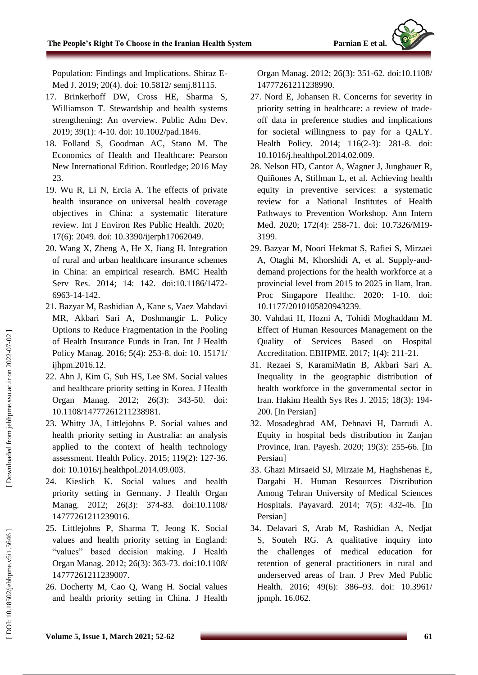Population: Findings and Implications. Shiraz E - Med J. 2019; 20(4). doi: 10.5812/ semj.81115.

- 17. Brinkerhoff DW, Cross HE, Sharma S, Williamson T. Stewardship and health systems strengthening: An overview. Public Adm Dev. 2019; 39(1): 4 -10. doi: 10.1002/pad.1846.
- 18. Folland S, Goodman AC, Stano M. The Economics of Health and Healthcare: Pearson New International Edition. Routledge; 2016 May 23.
- 19. Wu R, Li N, Ercia A. The effects of private health insurance on universal health coverage objectives in China: a systematic literature review. Int J Environ Res Public Health. 2020; 17(6): 2049. doi: 10.3390/ijerph17062049.
- 20. Wang X, Zheng A, He X, Jiang H. Integration of rural and urban healthcare insurance schemes in China: an empirical research. BMC Health Serv Res. 2014; 14: 142. doi:10.1186/1472-6963 -14 -142.
- 21. Bazyar M, Rashidian A, Kane s, Vaez Mahdavi MR, Akbari Sari A, Doshmangir L. Policy Options to Reduce Fragmentation in the Pooling of Health Insurance Funds in Iran. Int J Health Policy Manag. 2016; 5(4): 253 -8. doi: 10. 15171/ ijhpm.2016.12.
- 22. Ahn J, Kim G, Suh HS, Lee SM. Social values and healthcare priority setting in Korea. J Health Organ Manag. 2012; 26(3): 343 -50. doi: 10.1108/14777261211238981.
- 23. Whitty JA, Littlejohns P. Social values and health priority setting in Australia: an analysis applied to the context of health technology assessment. Health Policy. 2015; 119(2): 127 -36. doi: 10.1016/j.healthpol.2014.09.003.
- 24. Kieslich K. Social values and health priority setting in Germany. J Health Organ Manag. 2012; 26(3): 374 -83. doi:10.1108/ 14777261211239016.
- 25. Littlejohns P, Sharma T, Jeong K. Social values and health priority setting in England: "values" based decision making. J Health Organ Manag. 2012; 26(3): 363 -73. doi:10.1108/ 14777261211239007.
- 26. Docherty M, Cao Q, Wang H. Social values and health priority setting in China. J Health

Organ Manag. 2012; 26(3): 351 -62. doi:10.1108/ 14777261211238990.

Parnian E et al.

- 27. Nord E, Johansen R. Concerns for severity in priority setting in healthcare: a review of trade off data in preference studies and implications for societal willingness to pay for a QALY. Health Policy. 2014; 116(2-3): 281-8. doi: 10.1016/j.healthpol.2014.02.009 .
- 28. Nelson HD, Cantor A, Wagner J, Jungbauer R, Quiñones A, Stillman L, et al. Achieving health equity in preventive services: a systematic review for a National Institutes of Health Pathways to Prevention Workshop. Ann Intern Med. 2020; 172(4): 258-71. doi: 10.7326/M19-3199.
- 29. Bazyar M, Noori Hekmat S, Rafiei S, Mirzaei A, Otaghi M, Khorshidi A, et al. Supply -and demand projections for the health workforce at a provincial level from 2015 to 2025 in Ilam, Iran. Proc Singapore Healthc. 2020: 1 -10. doi: 10.1177/2010105820943239 .
- 30. Vahdati H, Hozni A, Tohidi Moghaddam M. Effect of Human Resources Management on the Quality of Services Based on Hospital Accreditation. EBHPME. 2017; 1(4): 211 -21.
- 31. Rezaei S, KaramiMatin B, Akbari Sari A. Inequality in the geographic distribution of health workforce in the governmental sector in Iran. Hakim Health Sys Res J. 2015; 18(3): 194 - 200. [In Persian]
- 32. Mosadeghrad AM, Dehnavi H, Darrudi A. Equity in hospital beds distribution in Zanjan Province, Iran. Payesh. 2020; 19(3): 255 -66 . [In Persian]
- 33. Ghazi Mirsaeid SJ, Mirzaie M, Haghshenas E, Dargahi H. Human Resources Distribution Among Tehran University of Medical Sciences Hospitals. Payavard. 2014; 7(5): 432 -46 . [In Persian]
- 34. Delavari S, Arab M, Rashidian A, Nedjat S, Souteh RG. A qualitative inquiry into the challenges of medical education for retention of general practitioners in rural and underserved areas of Iran. J Prev Med Public Health. 2016; 49(6): 386 –93. doi: 10.3961/ jpmph. 16.062.

DOI: 10.18502/jebhpme.v5i1.5646